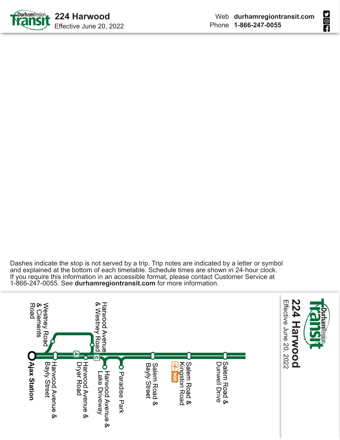

Dashes indicate the stop is not served by a trip. Trip notes are indicated by a letter or symbol and explained at the bottom of each timetable. Schedule times are shown in 24-hour clock. If you require this information in an accessible format, please contact Customer Service at 1-866-247-0055. See **durhamregiontransit.com** for more information.

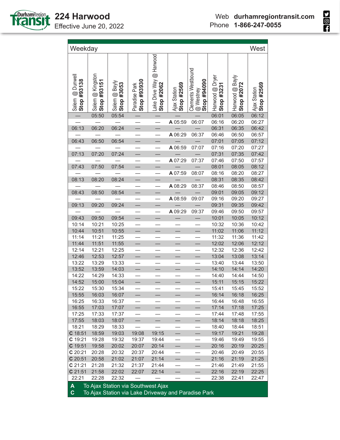

**SOL** 

| Weekday                              |                                 |                                    |                              |                                        |                            |                                                       |                               |                               | West                       |
|--------------------------------------|---------------------------------|------------------------------------|------------------------------|----------------------------------------|----------------------------|-------------------------------------------------------|-------------------------------|-------------------------------|----------------------------|
| @ Dunwell<br>#93138<br>Salem<br>Stop | Salem @ Kingston<br>Stop #93151 | Salem @ Bayly<br>#3053<br>Stop:    | Stop #93930<br>Paradise Park | Lake Drive Way @ Harwood<br>Stop #2062 | Stop #2569<br>Ajax Station | <b>Clements Westbound</b><br>060b6# do1S<br>@ Westney | Harwood @ Dryer<br>Stop #3231 | Harwood @ Bayly<br>Stop #2072 | Stop #2569<br>Ajax Station |
|                                      | 05:50                           | 05:54                              |                              |                                        |                            |                                                       | 06:01                         | 06:05                         | 06:12                      |
|                                      |                                 |                                    |                              | $\overline{\phantom{0}}$               | A 05:59                    | 06:07                                                 | 06:16                         | 06:20                         | 06:27                      |
| 06:13                                | 06:20                           | 06:24                              |                              | $\overline{\phantom{0}}$               |                            |                                                       | 06:31                         | 06:35                         | 06:42                      |
|                                      |                                 |                                    |                              | $\frac{1}{\sqrt{1-\frac{1}{2}}}$       | A 06:29                    | 06:37                                                 | 06:46                         | 06:50                         | 06:57                      |
| 06:43                                | 06:50                           | 06:54                              | $\equiv$                     |                                        |                            |                                                       | 07:01                         | 07:05                         | 07:12                      |
|                                      |                                 |                                    | $\overline{\phantom{a}}$     | $\equiv$                               | A 06:59                    | 07:07                                                 | 07:16                         | 07:20                         | 07:27                      |
| 07:13                                | 07:20                           | 07:24                              |                              |                                        |                            |                                                       | 07:31                         | 07:35                         | 07:42                      |
|                                      |                                 |                                    |                              | $\overline{\phantom{0}}$               | A 07:29                    | 07:37                                                 | 07:46                         | 07:50                         | 07:57                      |
| 07:43                                | 07:50                           | 07:54                              |                              | ÷                                      |                            |                                                       | 08:01                         | 08:05                         | 08:12                      |
|                                      |                                 |                                    |                              | $\overline{\phantom{0}}$               | A 07:59                    | 08:07                                                 | 08:16                         | 08:20                         | 08:27                      |
| 08:13                                | 08:20                           | 08:24                              |                              | $\equiv$                               |                            |                                                       | 08:31                         | 08:35                         | 08:42                      |
|                                      |                                 |                                    |                              | $\overline{\phantom{0}}$               | A 08:29                    | 08:37                                                 | 08:46                         | 08:50                         | 08:57                      |
| 08:43                                | 08:50                           | 08:54                              | $\equiv$                     | $\overline{\phantom{0}}$               |                            |                                                       | 09:01                         | 09:05                         | 09:12                      |
|                                      |                                 |                                    |                              |                                        | A 08:59                    | 09:07                                                 | 09:16                         | 09:20                         | 09:27                      |
| 09:13                                | 09:20                           | 09:24                              | ÷,                           | ÷                                      |                            |                                                       | 09:31                         | 09:35                         | 09:42                      |
|                                      |                                 |                                    |                              | $\overline{\phantom{0}}$               | A 09:29                    | 09:37                                                 | 09:46                         | 09:50                         | 09:57                      |
| 09:43                                | 09:50                           | 09:54                              |                              |                                        |                            |                                                       | 10:01                         | 10:05                         | 10:12                      |
| 10:14                                | 10:21                           | 10:25                              | $\overline{\phantom{0}}$     | $\frac{1}{1}$                          |                            |                                                       | 10:32                         | 10:36                         | 10:42                      |
| 10:44                                | 10:51                           | 10:55                              | $\overline{\phantom{0}}$     |                                        |                            |                                                       | 11:02                         | 11:06                         | 11:12                      |
| 11:14                                | 11:21                           | 11:25                              |                              |                                        |                            |                                                       | 11:32                         | 11:36                         | 11:42                      |
| 11:44                                | 11:51                           | 11:55                              | $\overline{\phantom{0}}$     | $\overline{\phantom{0}}$               | $\overline{\phantom{0}}$   | $\equiv$                                              | 12:02                         | 12:06                         | 12:12                      |
| 12:14                                | 12:21                           | 12:25                              |                              |                                        |                            |                                                       | 12:32                         | 12:36                         | 12:42                      |
| 12:46                                | 12:53                           | 12:57                              |                              | $\equiv$                               |                            |                                                       | 13:04                         | 13:08                         | 13:14                      |
| 13:22                                | 13:29                           | 13:33                              | $\overline{\phantom{0}}$     |                                        |                            |                                                       | 13:40                         | 13:44                         | 13:50                      |
| 13:52                                | 13:59                           | 14:03                              |                              |                                        |                            |                                                       | 14:10                         | 14:14                         | 14:20                      |
| 14:22                                | 14:29                           | 14:33                              |                              |                                        |                            |                                                       | 14:40                         | 14:44                         | 14:50                      |
| 14:52                                | 15:00                           | 15:04                              |                              | $\equiv$                               |                            |                                                       | 15:11                         | 15:15                         | 15:22                      |
| 15:22                                | 15:30                           | 15:34                              |                              |                                        |                            |                                                       | 15:41                         | 15:45                         | 15:52                      |
| 15:55                                | 16:03                           | 16:07                              |                              | $\overline{\phantom{0}}$               |                            |                                                       | 16:14                         | 16:18                         | 16:25                      |
| 16:25                                | 16:33                           | 16:37                              | $\overline{\phantom{0}}$     |                                        | $\overline{\phantom{0}}$   |                                                       | 16:44                         | 16:48                         | 16:55                      |
| 16:55                                | 17:03                           | 17:07                              |                              |                                        |                            |                                                       | 17:14                         | 17:18                         | 17:25                      |
| 17:25                                | 17:33                           | 17:37                              |                              |                                        |                            |                                                       | 17:44                         | 17:48                         | 17:55                      |
| 17:55                                | 18:03                           | 18:07                              | $\qquad \qquad$              | $\qquad \qquad -$                      | $\overline{\phantom{0}}$   |                                                       | 18:14                         | 18:18                         | 18:25                      |
| 18:21                                | 18:29                           | 18:33                              |                              |                                        |                            |                                                       | 18:40                         | 18:44                         | 18:51                      |
| $C$ 18:51                            | 18:59                           | 19:03                              | 19:08                        | 19:15                                  | $\qquad \qquad$            |                                                       | 19:17                         | 19:21                         | 19:28                      |
| C 19:21                              | 19:28                           | 19:32                              | 19:37                        | 19:44                                  | $\overline{\phantom{0}}$   |                                                       | 19:46                         | 19:49                         | 19:55                      |
| C 19:51                              | 19:58                           | 20:02                              | 20:07                        | 20:14                                  | $\overline{\phantom{0}}$   | $\overline{\phantom{0}}$                              | 20:16                         | 20:19                         | 20:25                      |
| C 20:21                              | 20:28                           | 20:32                              | 20:37                        | 20:44                                  |                            |                                                       | 20:46                         | 20:49                         | 20:55                      |
| C 20:51                              | 20:58                           | 21:02                              | 21:07                        | 21:14                                  | $\qquad \qquad$            |                                                       | 21:16                         | 21:19                         | 21:25                      |
| $C$ 21:21                            | 21:28                           | 21:32                              | 21:37                        | 21:44                                  |                            |                                                       | 21:46                         | 21:49                         | 21:55                      |
| $C$ 21:51                            | 21:58                           | 22:02                              | 22:07                        | 22:14                                  | $\overline{\phantom{0}}$   |                                                       | 22:16                         | 22:19                         | 22:25                      |
| 22:21                                | 22:28                           | 22:32                              |                              |                                        |                            |                                                       | 22:38                         | 22:41                         | 22:47                      |
| A                                    |                                 | To Ajax Station via Southwest Ajax |                              |                                        |                            |                                                       |                               |                               |                            |

**C** To Ajax Station via Lake Driveway and Paradise Park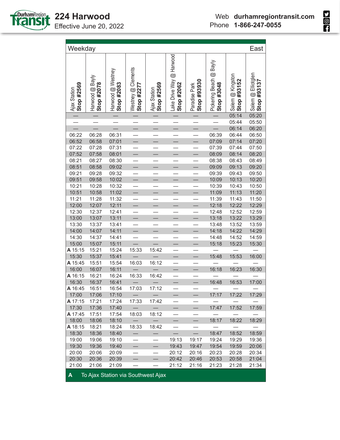

**SOL** 

| Weekday                    |                               |                                 |                                  |                                    |                                           |                              |                                                 |                                    | East                              |
|----------------------------|-------------------------------|---------------------------------|----------------------------------|------------------------------------|-------------------------------------------|------------------------------|-------------------------------------------------|------------------------------------|-----------------------------------|
| Stop #2569<br>Ajax Station | Harwood @ Bayly<br>Stop #2078 | Harwood @ Westney<br>Stop #2083 | Westney @ Clements<br>Stop #2277 | Stop #2569<br>Ajax Station         | @ Harwood<br>Lake Drive Way<br>Stop #2062 | Stop #93930<br>Paradise Park | <b>Bayly</b><br>Pickering Beach @<br>Stop #3048 | Salem @ Kingston<br>#93152<br>Stop | Salem @ Elliotglen<br>Stop #93137 |
|                            |                               |                                 |                                  |                                    |                                           |                              |                                                 | 05:14                              | 05:20                             |
|                            |                               |                                 |                                  |                                    |                                           |                              |                                                 | 05:44                              | 05:50                             |
|                            |                               |                                 | $\equiv$                         | $\overline{\phantom{0}}$           |                                           |                              |                                                 | 06:14                              | 06:20                             |
| 06:22                      | 06:28                         | 06:31                           |                                  |                                    |                                           |                              | 06:39                                           | 06:44                              | 06:50                             |
| 06:52                      | 06:58                         | 07:01                           | $\overline{\phantom{0}}$         | $\overline{\phantom{0}}$           | $\equiv$                                  | $\overline{\phantom{0}}$     | 07:09                                           | 07:14                              | 07:20                             |
| 07:22                      | 07:28                         | 07:31                           | $\overline{\phantom{0}}$         |                                    |                                           |                              | 07:39                                           | 07:44                              | 07:50                             |
| 07:52                      | 07:58                         | 08:01                           | $\equiv$                         |                                    |                                           |                              | 08:09                                           | 08:14                              | 08:20                             |
| 08:21                      | 08:27                         | 08:30                           |                                  |                                    |                                           |                              | 08:38                                           | 08:43                              | 08:49                             |
| 08:51                      | 08:58                         | 09:02                           | $\overline{\phantom{0}}$         |                                    |                                           |                              | 09:09                                           | 09:13                              | 09:20                             |
| 09:21                      | 09:28                         | 09:32                           | $\equiv$                         | $\equiv$                           | $\equiv$                                  |                              | 09:39                                           | 09:43                              | 09:50                             |
| 09:51                      | 09:58                         | 10:02                           |                                  |                                    |                                           | $\equiv$                     | 10:09                                           | 10:13                              | 10:20                             |
| 10:21                      | 10:28                         | 10:32                           | $\frac{1}{1}$                    | $\equiv$                           | $\equiv$                                  | $\equiv$                     | 10:39                                           | 10:43                              | 10:50                             |
| 10:51                      | 10:58                         | 11:02                           |                                  |                                    |                                           |                              | 11:09                                           | 11:13                              | 11:20                             |
| 11:21                      | 11:28                         | 11:32                           |                                  | $\equiv$                           |                                           |                              | 11:39                                           | 11:43                              | 11:50                             |
| 12:00                      | 12:07                         | 12:11                           | $\overline{\phantom{0}}$         |                                    |                                           |                              | 12:18                                           | 12:22                              | 12:29                             |
| 12:30                      | 12:37                         | 12:41                           |                                  |                                    |                                           |                              | 12:48                                           | 12:52                              | 12:59                             |
| 13:00                      | 13:07                         | 13:11                           | $\equiv$                         |                                    |                                           |                              | 13:18                                           | 13:22                              | 13:29                             |
| 13:30                      | 13:37                         | 13:41                           | $\overline{\phantom{0}}$         |                                    |                                           |                              | 13:48                                           | 13:52                              | 13:59                             |
| 14:00                      | 14:07                         | 14:11                           | $\equiv$                         |                                    |                                           |                              | 14:18                                           | 14:22                              | 14:29                             |
| 14:30                      | 14:37                         | 14:41                           |                                  |                                    |                                           |                              | 14:48                                           | 14:52                              | 14:59                             |
| 15:00                      | 15:07                         | 15:11                           |                                  |                                    | $\overline{\phantom{0}}$                  |                              | 15:18                                           | 15:23                              | 15:30                             |
| A 15:15                    | 15:21                         | 15:24                           | 15:33                            | 15:42                              |                                           |                              |                                                 |                                    |                                   |
| 15:30                      | 15:37                         | 15:41                           |                                  |                                    |                                           |                              | 15:48                                           | 15:53                              | 16:00                             |
| A 15:45                    | 15:51                         | 15:54                           | 16:03                            | 16:12                              | $\equiv$                                  |                              |                                                 |                                    |                                   |
| 16:00                      | 16:07                         | 16:11                           |                                  |                                    |                                           |                              | 16:18                                           | 16:23                              | 16:30                             |
| A 16:15                    | 16:21                         | 16:24                           | 16:33                            | 16:42                              |                                           |                              |                                                 |                                    |                                   |
| 16:30                      | 16:37                         | 16:41                           |                                  |                                    | $\overline{\phantom{0}}$                  | $\equiv$                     | 16:48                                           | 16:53                              | 17:00                             |
| A 16:45                    | 16:51                         | 16:54                           | 17:03                            | 17:12                              |                                           |                              |                                                 |                                    |                                   |
| 17:00                      | 17:06                         | 17:10                           |                                  |                                    |                                           |                              | 17:17                                           | 17:22                              | 17:29                             |
| A 17:15                    | 17:21                         | 17:24                           | 17:33                            | 17:42                              |                                           |                              |                                                 |                                    |                                   |
| 17:30                      | 17:36                         | 17:40                           |                                  |                                    |                                           |                              | 17:47                                           | 17:52                              | 17:59                             |
| A 17:45                    | 17:51                         | 17:54                           | 18:03                            | 18:12                              |                                           |                              |                                                 |                                    |                                   |
| 18:00                      | 18:06                         | 18:10                           |                                  |                                    | $\equiv$                                  | $\overline{\phantom{0}}$     | 18:17                                           | 18:22                              | 18:29                             |
| A 18:15                    | 18:21                         | 18:24                           | 18:33                            | 18:42                              |                                           |                              |                                                 |                                    |                                   |
| 18:30                      | 18:36                         | 18:40                           |                                  |                                    |                                           |                              | 18:47                                           | 18:52                              | 18:59                             |
| 19:00                      | 19:06                         | 19:10                           | $\overline{\phantom{0}}$         |                                    | 19:13                                     | 19:17                        | 19:24                                           | 19:29                              | 19:36                             |
| 19:30                      | 19:36                         | 19:40                           |                                  |                                    | 19:43                                     | 19:47                        | 19:54                                           | 19:59                              | 20:06                             |
| 20:00                      | 20:06                         | 20:09                           |                                  |                                    | 20:12                                     | 20:16                        | 20:23                                           | 20:28                              | 20:34                             |
| 20:30                      | 20:36                         | 20:39                           |                                  |                                    | 20:42                                     | 20:46                        | 20:53                                           | 20:58                              | 21:04                             |
| 21:00                      | 21:06                         | 21:09                           |                                  |                                    | 21:12                                     | 21:16                        | 21:23                                           | 21:28                              | 21:34                             |
| A                          |                               |                                 |                                  | To Ajax Station via Southwest Ajax |                                           |                              |                                                 |                                    |                                   |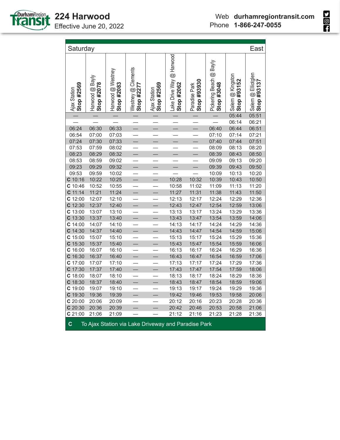

| Saturday                   |                                                     |                                 |                                  |                            |                                        |                              |                                                 |                                     | East                              |  |
|----------------------------|-----------------------------------------------------|---------------------------------|----------------------------------|----------------------------|----------------------------------------|------------------------------|-------------------------------------------------|-------------------------------------|-----------------------------------|--|
| Stop #2569<br>Ajax Station | Harwood @ Bayly<br>Stop #2078                       | Harwood @ Westney<br>Stop #2083 | Westney @ Clements<br>Stop #2277 | Stop #2569<br>Ajax Station | Lake Drive Way @ Harwood<br>Stop #2062 | Stop #93930<br>Paradise Park | <b>Bayly</b><br>Pickering Beach @<br>Stop #3048 | Salem @ Kingston<br>#93152<br>Stop: | Salem @ Elliotglen<br>Stop #93137 |  |
|                            |                                                     |                                 |                                  |                            |                                        |                              |                                                 | 05:44                               | 05:51                             |  |
|                            |                                                     |                                 |                                  |                            |                                        |                              |                                                 | 06:14                               | 06:21                             |  |
| 06:24                      | 06:30                                               | 06:33                           |                                  | $\overline{\phantom{0}}$   |                                        |                              | 06:40                                           | 06:44                               | 06:51                             |  |
| 06:54                      | 07:00                                               | 07:03                           | $\overline{\phantom{0}}$         |                            |                                        |                              | 07:10                                           | 07:14                               | 07:21                             |  |
| 07:24                      | 07:30                                               | 07:33                           |                                  | $\equiv$                   |                                        |                              | 07:40                                           | 07:44                               | 07:51                             |  |
| 07:53                      | 07:59                                               | 08:02                           |                                  |                            |                                        |                              | 08:09                                           | 08:13                               | 08:20                             |  |
| 08:23                      | 08:29                                               | 08:32                           |                                  |                            | $\overline{\phantom{0}}$               | $\overline{\phantom{0}}$     | 08:39                                           | 08:43                               | 08:50                             |  |
| 08:53                      | 08:59                                               | 09:02                           |                                  |                            |                                        |                              | 09:09                                           | 09:13                               | 09:20                             |  |
| 09:23                      | 09:29                                               | 09:32                           |                                  |                            |                                        |                              | 09:39                                           | 09:43                               | 09:50                             |  |
| 09:53                      | 09:59                                               | 10:02                           |                                  |                            |                                        |                              | 10:09                                           | 10:13                               | 10:20                             |  |
| C 10:16                    | 10:22                                               | 10:25                           | $\equiv$                         | $\overline{\phantom{0}}$   | 10:28                                  | 10:32                        | 10:39                                           | 10:43                               | 10:50                             |  |
| C 10:46                    | 10:52                                               | 10:55                           |                                  |                            | 10:58                                  | 11:02                        | 11:09                                           | 11:13                               | 11:20                             |  |
| $C$ 11:14                  | 11:21                                               | 11:24                           | $\overline{\phantom{0}}$         | $\equiv$                   | 11:27                                  | 11:31                        | 11:38                                           | 11:43                               | 11:50                             |  |
| C 12:00                    | 12:07                                               | 12:10                           | $\overline{\phantom{0}}$         |                            | 12:13                                  | 12:17                        | 12:24                                           | 12:29                               | 12:36                             |  |
| C 12:30                    | 12:37                                               | 12:40                           | $\equiv$                         | $\overline{\phantom{0}}$   | 12:43                                  | 12:47                        | 12:54                                           | 12:59                               | 13:06                             |  |
| C 13:00                    | 13:07                                               | 13:10                           |                                  |                            | 13:13                                  | 13:17                        | 13:24                                           | 13:29                               | 13:36                             |  |
| C 13:30                    | 13:37                                               | 13:40                           |                                  |                            | 13:43                                  | 13:47                        | 13:54                                           | 13:59                               | 14:06                             |  |
| $C$ 14:00                  | 14:07                                               | 14:10                           |                                  |                            | 14:13                                  | 14:17                        | 14:24                                           | 14:29                               | 14:36                             |  |
| C 14:30                    | 14:37                                               | 14:40                           | $\overline{\phantom{0}}$         | $\equiv$                   | 14:43                                  | 14:47                        | 14:54                                           | 14:59                               | 15:06                             |  |
| C 15:00                    | 15:07                                               | 15:10                           | $\overline{\phantom{0}}$         |                            | 15:13                                  | 15:17                        | 15:24                                           | 15:29                               | 15:36                             |  |
| $C$ 15:30                  | 15:37                                               | 15:40                           | $\equiv$                         | $\equiv$                   | 15:43                                  | 15:47                        | 15:54                                           | 15:59                               | 16:06                             |  |
| C 16:00                    | 16:07                                               | 16:10                           | $\overline{\phantom{0}}$         |                            | 16:13                                  | 16:17                        | 16:24                                           | 16:29                               | 16:36                             |  |
| C 16:30                    | 16:37                                               | 16:40                           | $\overline{\phantom{0}}$         | $\overline{\phantom{0}}$   | 16:43                                  | 16:47                        | 16:54                                           | 16:59                               | 17:06                             |  |
| C 17:00                    | 17:07                                               | 17:10                           |                                  |                            | 17:13                                  | 17:17                        | 17:24                                           | 17:29                               | 17:36                             |  |
| C 17:30                    | 17:37                                               | 17:40                           |                                  | $\overline{\phantom{0}}$   | 17:43                                  | 17:47                        | 17:54                                           | 17:59                               | 18:06                             |  |
| C 18:00                    | 18:07                                               | 18:10                           | $\overline{\phantom{0}}$         | $\overline{\phantom{0}}$   | 18:13                                  | 18:17                        | 18:24                                           | 18:29                               | 18:36                             |  |
| C 18:30                    | 18:37                                               | 18:40                           | $\overline{\phantom{0}}$         | $\overline{\phantom{0}}$   | 18:43                                  | 18:47                        | 18:54                                           | 18:59                               | 19:06                             |  |
| $C$ 19:00                  | 19:07                                               | 19:10                           |                                  |                            | 19:13                                  | 19:17                        | 19:24                                           | 19:29                               | 19:36                             |  |
| C 19:30                    | 19:36                                               | 19:39                           | $\overline{\phantom{0}}$         | $\overline{\phantom{0}}$   | 19:42                                  | 19:46                        | 19:53                                           | 19:58                               | 20:06                             |  |
| C 20:00                    | 20:06                                               | 20:09                           |                                  |                            | 20:12                                  | 20:16                        | 20:23                                           | 20:28                               | 20:36                             |  |
| C 20:30                    | 20:36                                               | 20:39                           |                                  |                            | 20:42                                  | 20:46                        | 20:53                                           | 20:58                               | 21:06                             |  |
| C 21:00                    | 21:06                                               | 21:09                           |                                  |                            | 21:12                                  | 21:16                        | 21:23                                           | 21:28                               | 21:36                             |  |
| $\mathbf C$                | To Ajax Station via Lake Driveway and Paradise Park |                                 |                                  |                            |                                        |                              |                                                 |                                     |                                   |  |

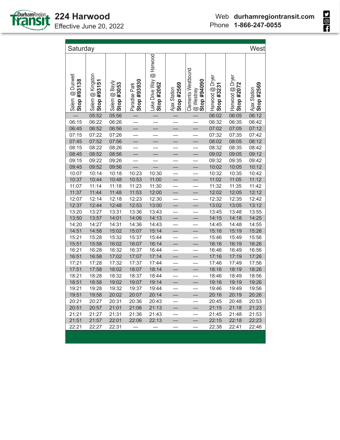

٦

| Saturday                       |                                 |                             |                              |                                        |                            |                                                       |                               |                               | West                       |
|--------------------------------|---------------------------------|-----------------------------|------------------------------|----------------------------------------|----------------------------|-------------------------------------------------------|-------------------------------|-------------------------------|----------------------------|
| Salem @ Dunwell<br>Stop #93138 | Salem @ Kingston<br>Stop #93151 | Salem @ Bayly<br>Stop #3053 | Stop #93930<br>Paradise Park | Lake Drive Way @ Harwood<br>Stop #2062 | Stop #2569<br>Ajax Station | <b>Clements Westbound</b><br>060b6# do1S<br>@ Westney | Harwood @ Dryer<br>Stop #3231 | Harwood @ Dryer<br>Stop #2072 | Stop #2569<br>Ajax Station |
|                                | 05:52                           | 05:56                       |                              |                                        |                            |                                                       | 06:02                         | 06:05                         | 06:12                      |
| 06:15                          | 06:22                           | 06:26                       |                              |                                        |                            |                                                       | 06:32                         | 06:35                         | 06:42                      |
| 06:45                          | 06:52                           | 06:56                       | L,                           | $\overline{\phantom{0}}$               | $\overline{\phantom{0}}$   | L,                                                    | 07:02                         | 07:05                         | 07:12                      |
| 07:15                          | 07:22                           | 07:26                       |                              |                                        |                            |                                                       | 07:32                         | 07:35                         | 07:42                      |
| 07:45                          | 07:52                           | 07:56                       |                              | $\overline{\phantom{0}}$               |                            |                                                       | 08:02                         | 08:05                         | 08:12                      |
| 08:15                          | 08:22                           | 08:26                       | $\overline{\phantom{0}}$     |                                        |                            |                                                       | 08:32                         | 08:35                         | 08:42                      |
| 08:45                          | 08:52                           | 08:56                       |                              |                                        |                            |                                                       | 09:02                         | 09:05                         | 09:12                      |
| 09:15                          | 09:22                           | 09:26                       |                              |                                        |                            |                                                       | 09:32                         | 09:35                         | 09:42                      |
| 09:45                          | 09:52                           | 09:56                       |                              |                                        |                            |                                                       | 10:02                         | 10:05                         | 10:12                      |
| 10:07                          | 10:14                           | 10:18                       | 10:23                        | 10:30                                  |                            |                                                       | 10:32                         | 10:35                         | 10:42                      |
| 10:37                          | 10:44                           | 10:48                       | 10:53                        | 11:00                                  |                            |                                                       | 11:02                         | 11:05                         | 11:12                      |
| 11:07                          | 11:14                           | 11:18                       | 11:23                        | 11:30                                  | $\equiv$                   |                                                       | 11:32                         | 11:35                         | 11:42                      |
| 11:37                          | 11:44                           | 11:48                       | 11:53                        | 12:00                                  |                            |                                                       | 12:02                         | 12:05                         | 12:12                      |
| 12:07                          | 12:14                           | 12:18                       | 12:23                        | 12:30                                  |                            |                                                       | 12:32                         | 12:35                         | 12:42                      |
| 12:37                          | 12:44                           | 12:48                       | 12:53                        | 13:00                                  | $\overline{\phantom{0}}$   | $\overline{\phantom{0}}$                              | 13:02                         | 13:05                         | 13:12                      |
| 13:20                          | 13:27                           | 13:31                       | 13:36                        | 13:43                                  |                            |                                                       | 13:45                         | 13:48                         | 13:55                      |
| 13:50                          | 13:57                           | 14:01                       | 14:06                        | 14:13                                  | $\overline{\phantom{0}}$   | $\equiv$                                              | 14:15                         | 14:18                         | 14:25                      |
| 14:20                          | 14:27                           | 14:31                       | 14:36                        | 14:43                                  |                            |                                                       | 14:45                         | 14:48                         | 14:55                      |
| 14:51                          | 14:58                           | 15:02                       | 15:07                        | 15:14                                  | $\overline{\phantom{0}}$   |                                                       | 15:16                         | 15:19                         | 15:26                      |
| 15:21                          | 15:28                           | 15:32                       | 15:37                        | 15:44                                  |                            |                                                       | 15:46                         | 15:49                         | 15:56                      |
| 15:51                          | 15:58                           | 16:02                       | 16:07                        | 16:14                                  | $\equiv$                   |                                                       | 16:16                         | 16:19                         | 16:26                      |
| 16:21                          | 16:28                           | 16:32                       | 16:37                        | 16:44                                  |                            |                                                       | 16:46                         | 16:49                         | 16:56                      |
| 16:51                          | 16:58                           | 17:02                       | 17:07                        | 17:14                                  | $\equiv$                   |                                                       | 17:16                         | 17:19                         | 17:26                      |
| 17:21                          | 17:28                           | 17:32                       | 17:37                        | 17:44                                  |                            |                                                       | 17:46                         | 17:49                         | 17:56                      |
| 17:51                          | 17:58                           | 18:02                       | 18:07                        | 18:14                                  | $\equiv$                   | $\equiv$                                              | 18:16                         | 18:19                         | 18:26                      |
| 18:21                          | 18:28                           | 18:32                       | 18:37                        | 18:44                                  |                            |                                                       | 18:46                         | 18:49                         | 18:56                      |
| 18:51                          | 18:58                           | 19:02                       | 19:07                        | 19:14                                  |                            |                                                       | 19:16                         | 19:19                         | 19:26                      |
| 19:21                          | 19:28                           | 19:32                       | 19:37                        | 19:44                                  |                            |                                                       | 19:46                         | 19:49                         | 19:56                      |
| 19:51                          | 19:58                           | 20:02                       | 20:07                        | 20:14                                  |                            |                                                       | 20:16                         | 20:19                         | 20:26                      |
| 20:21                          | 20:27                           | 20:31                       | 20:36                        | 20:43                                  |                            |                                                       | 20:45                         | 20:48                         | 20:53                      |
| 20:51                          | 20:57                           | 21:01                       | 21:06                        | 21:13                                  | $\qquad \qquad$            |                                                       | 21:15                         | 21:18                         | 21:23                      |
| 21:21                          | 21:27                           | 21:31                       | 21:36                        | 21:43                                  |                            |                                                       | 21:45                         | 21:48                         | 21:53                      |
| 21:51                          | 21:57                           | 22:01                       | 22:06                        | 22:13                                  |                            |                                                       | 22:15                         | 22:18                         | 22:23                      |
| 22:21                          | 22:27                           | 22:31                       |                              |                                        |                            |                                                       | 22:38                         | 22:41                         | 22:46                      |
|                                |                                 |                             |                              |                                        |                            |                                                       |                               |                               |                            |

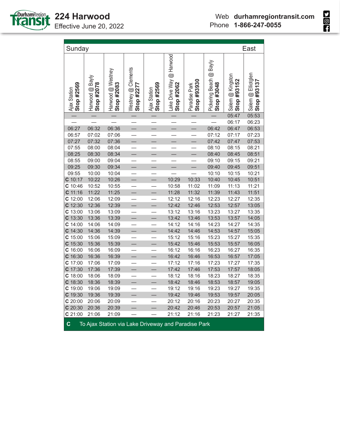

٦

| East<br>Sunday             |                               |                                 |                                  |                            |                                        |                              |                                       |                                    |                                   |
|----------------------------|-------------------------------|---------------------------------|----------------------------------|----------------------------|----------------------------------------|------------------------------|---------------------------------------|------------------------------------|-----------------------------------|
| Stop #2569<br>Ajax Station | Harwood @ Bayly<br>Stop #2078 | Harwood @ Westney<br>Stop #2083 | Westney @ Clements<br>Stop #2277 | Stop #2569<br>Ajax Station | Lake Drive Way @ Harwood<br>Stop #2062 | Stop #93930<br>Paradise Park | Pickering Beach @ Bayly<br>Stop #3048 | Salem @ Kingston<br>#93152<br>Stop | Salem @ Elliotglen<br>Stop #93137 |
|                            |                               |                                 |                                  |                            |                                        |                              |                                       | 05:47                              | 05:53                             |
|                            |                               |                                 |                                  |                            |                                        |                              |                                       | 06:17                              | 06:23                             |
| 06:27                      | 06:32                         | 06:36                           | $\overline{\phantom{0}}$         | $\frac{1}{2}$              | $\equiv$                               | $\equiv$                     | 06:42                                 | 06:47                              | 06:53                             |
| 06:57                      | 07:02                         | 07:06                           |                                  |                            |                                        |                              | 07:12                                 | 07:17                              | 07:23                             |
| 07:27                      | 07:32                         | 07:36                           | $\overline{\phantom{0}}$         | $\overline{\phantom{0}}$   | $\equiv$                               | $\overline{\phantom{0}}$     | 07:42                                 | 07:47                              | 07:53                             |
| 07:55                      | 08:00                         | 08:04                           |                                  |                            | $\overline{\phantom{0}}$               |                              | 08:10                                 | 08:15                              | 08:21                             |
| 08:25                      | 08:30                         | 08:34                           | $\equiv$                         | $\equiv$                   | $\overline{\phantom{0}}$               | $\overline{\phantom{0}}$     | 08:40                                 | 08:45                              | 08:51                             |
| 08:55                      | 09:00                         | 09:04                           |                                  |                            |                                        |                              | 09:10                                 | 09:15                              | 09:21                             |
| 09:25                      | 09:30                         | 09:34                           |                                  |                            |                                        |                              | 09:40                                 | 09:45                              | 09:51                             |
| 09:55                      | 10:00                         | 10:04                           |                                  |                            |                                        |                              | 10:10                                 | 10:15                              | 10:21                             |
| C 10:17                    | 10:22                         | 10:26                           |                                  |                            | 10:29                                  | 10:33                        | 10:40                                 | 10:45                              | 10:51                             |
| $C$ 10:46                  | 10:52                         | 10:55                           |                                  |                            | 10:58                                  | 11:02                        | 11:09                                 | 11:13                              | 11:21                             |
| $C$ 11:16                  | 11:22                         | 11:25                           |                                  | $\overline{\phantom{0}}$   | 11:28                                  | 11:32                        | 11:39                                 | 11:43                              | 11:51                             |
| $C$ 12:00                  | 12:06                         | 12:09                           |                                  |                            | 12:12                                  | 12:16                        | 12:23                                 | 12:27                              | 12:35                             |
| C 12:30                    | 12:36                         | 12:39                           | $\overline{\phantom{0}}$         | $\overline{\phantom{0}}$   | 12:42                                  | 12:46                        | 12:53                                 | 12:57                              | 13:05                             |
| $C$ 13:00                  | 13:06                         | 13:09                           |                                  |                            | 13:12                                  | 13:16                        | 13:23                                 | 13:27                              | 13:35                             |
| $C$ 13:30                  | 13:36                         | 13:39                           | $\overline{\phantom{0}}$         | $\equiv$                   | 13:42                                  | 13:46                        | 13:53                                 | 13:57                              | 14:05                             |
| $C$ 14:00                  | 14:06                         | 14:09                           |                                  |                            | 14:12                                  | 14:16                        | 14:23                                 | 14:27                              | 14:35                             |
| C 14:30                    | 14:36                         | 14:39                           | $\overline{\phantom{0}}$         | $\overline{\phantom{0}}$   | 14:42                                  | 14:46                        | 14:53                                 | 14:57                              | 15:05                             |
| $C$ 15:00                  | 15:06                         | 15:09                           |                                  |                            | 15:12                                  | 15:16                        | 15:23                                 | 15:27                              | 15:35                             |
| $C$ 15:30                  | 15:36                         | 15:39                           | L,                               | $\overline{\phantom{0}}$   | 15:42                                  | 15:46                        | 15:53                                 | 15:57                              | 16:05                             |
| $C$ 16:00                  | 16:06                         | 16:09                           |                                  |                            | 16:12                                  | 16:16                        | 16:23                                 | 16:27                              | 16:35                             |
| C 16:30                    | 16:36                         | 16:39                           |                                  |                            | 16:42                                  | 16:46                        | 16:53                                 | 16:57                              | 17:05                             |
| $C$ 17:00                  | 17:06                         | 17:09                           |                                  |                            | 17:12                                  | 17:16                        | 17:23                                 | 17:27                              | 17:35                             |
| C 17:30                    | 17:36                         | 17:39                           |                                  | $\overline{\phantom{0}}$   | 17:42                                  | 17:46                        | 17:53                                 | 17:57                              | 18:05                             |
| $C$ 18:00                  | 18:06                         | 18:09                           |                                  |                            | 18:12                                  | 18:16                        | 18:23                                 | 18:27                              | 18:35                             |
| C 18:30                    | 18:36                         | 18:39                           |                                  |                            | 18:42                                  | 18:46                        | 18:53                                 | 18:57                              | 19:05                             |
| C 19:00                    | 19:06                         | 19:09                           |                                  |                            | 19:12                                  | 19:16                        | 19:23                                 | 19:27                              | 19:35                             |
| C 19:30                    | 19:36                         | 19:39                           |                                  | $\equiv$                   | 19:42                                  | 19:46                        | 19:53                                 | 19:57                              | 20:05                             |
| C20:00                     | 20:06                         | 20:09                           |                                  |                            | 20:12                                  | 20:16                        | 20:23                                 | 20:27                              | 20:35                             |
| C 20:30                    | 20:36                         | 20:39                           |                                  |                            | 20:42                                  | 20:46                        | 20:53                                 | 20:57                              | 21:05                             |
| C21:00                     | 21:06                         | 21:09                           |                                  |                            | 21:12                                  | 21:16                        | 21:23                                 | 21:27                              | 21:35                             |
|                            |                               |                                 |                                  |                            |                                        |                              |                                       |                                    |                                   |



**C** To Ajax Station via Lake Driveway and Paradise Park